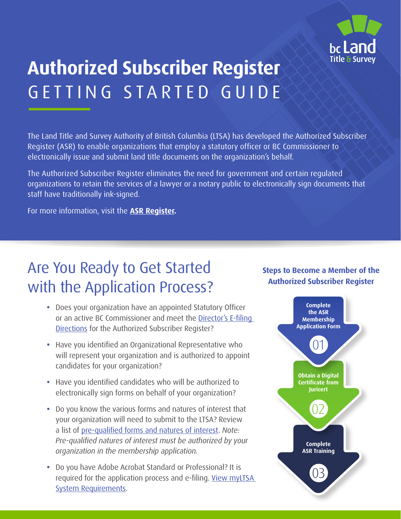

# **Authorized Subscriber Register** GETTING STARTED GUIDE

The Land Title and Survey Authority of British Columbia (LTSA) has developed the Authorized Subscriber Register (ASR) to enable organizations that employ a statutory officer or BC Commissioner to electronically issue and submit land title documents on the organization's behalf.

The Authorized Subscriber Register eliminates the need for government and certain regulated organizations to retain the services of a lawyer or a notary public to electronically sign documents that staff have traditionally ink-signed.

For more information, visit the **[ASR Register.](https://ltsa.ca/government/asr-register/become-an-asr-member/#)** 

## Are You Ready to Get Started with the Application Process?

- **•** Does your organization have an appointed Statutory Officer or an active BC Commissioner and meet the [Director's E-filing](https://ltsa.ca/wp-content/uploads/2020/10/E-filing-Directions.pdf)  [Directions](https://ltsa.ca/wp-content/uploads/2020/10/E-filing-Directions.pdf) for the Authorized Subscriber Register?
- **•** Have you identified an Organizational Representative who will represent your organization and is authorized to appoint candidates for your organization?
- **•** Have you identified candidates who will be authorized to electronically sign forms on behalf of your organization?
- **•** Do you know the various forms and natures of interest that your organization will need to submit to the LTSA? Review a list of [pre-qualified forms and natures of interest](https://ltsa.ca/government/asr-register/become-an-asr-member/). *Note: Pre-qualified natures of interest must be authorized by your organization in the membership application.*
- **•** Do you have Adobe Acrobat Standard or Professional? It is required for the application process and e-filing. View myLTSA [System Requirements.](https://help.ltsa.ca/myltsa-enterprise/system-requirements)

#### **Steps to Become a Member of the Authorized Subscriber Register**